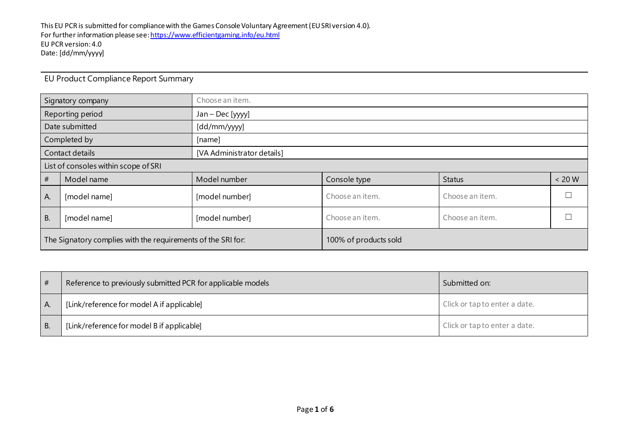| Signatory company                                            |                  | Choose an item.            |                 |                 |          |  |
|--------------------------------------------------------------|------------------|----------------------------|-----------------|-----------------|----------|--|
|                                                              | Reporting period | Jan - Dec [yyyy]           |                 |                 |          |  |
| Date submitted                                               |                  | [dd/mm/yyyy]               |                 |                 |          |  |
| Completed by                                                 |                  | [name]                     |                 |                 |          |  |
| Contact details                                              |                  | [VA Administrator details] |                 |                 |          |  |
| List of consoles within scope of SRI                         |                  |                            |                 |                 |          |  |
| #                                                            | Model name       | Model number               | Console type    | <b>Status</b>   | $< 20 W$ |  |
| A.                                                           | [model name]     | [model number]             | Choose an item. | Choose an item. |          |  |
| <b>B.</b><br>[model name]                                    |                  | [model number]             | Choose an item. | Choose an item. |          |  |
| The Signatory complies with the requirements of the SRI for: |                  | 100% of products sold      |                 |                 |          |  |

## EU Product Compliance Report Summary

| #  | Reference to previously submitted PCR for applicable models | Submitted on:                 |
|----|-------------------------------------------------------------|-------------------------------|
| A. | [Link/reference for model A if applicable]                  | Click or tap to enter a date. |
|    | [Link/reference for model B if applicable]                  | Click or tap to enter a date. |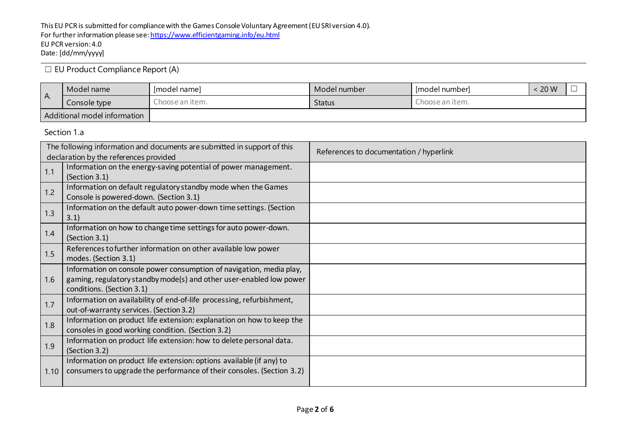## ☐ EU Product Compliance Report (A)

|                              | Model name   | Imodel namel    | Model number  | - Imodel numberl | 20 W |  |
|------------------------------|--------------|-----------------|---------------|------------------|------|--|
| I A.                         | Console type | Choose an item. | <b>Status</b> | Choose an item.  |      |  |
| Additional model information |              |                 |               |                  |      |  |

Section 1.a

| The following information and documents are submitted in support of this |                                                                                                           | References to documentation / hyperlink |
|--------------------------------------------------------------------------|-----------------------------------------------------------------------------------------------------------|-----------------------------------------|
|                                                                          | declaration by the references provided<br>Information on the energy-saving potential of power management. |                                         |
| 1.1                                                                      | (Section 3.1)                                                                                             |                                         |
| 1.2                                                                      | Information on default regulatory standby mode when the Games                                             |                                         |
|                                                                          | Console is powered-down. (Section 3.1)                                                                    |                                         |
| 1.3                                                                      | Information on the default auto power-down time settings. (Section                                        |                                         |
|                                                                          | 3.1)                                                                                                      |                                         |
| 1.4                                                                      | Information on how to change time settings for auto power-down.                                           |                                         |
|                                                                          | (Section 3.1)                                                                                             |                                         |
| 1.5                                                                      | References to further information on other available low power                                            |                                         |
|                                                                          | modes. (Section 3.1)                                                                                      |                                         |
|                                                                          | Information on console power consumption of navigation, media play,                                       |                                         |
| 1.6                                                                      | gaming, regulatory standby mode(s) and other user-enabled low power                                       |                                         |
|                                                                          | conditions. (Section 3.1)                                                                                 |                                         |
| 1.7                                                                      | Information on availability of end-of-life processing, refurbishment,                                     |                                         |
|                                                                          | out-of-warranty services. (Section 3.2)                                                                   |                                         |
| 1.8                                                                      | Information on product life extension: explanation on how to keep the                                     |                                         |
|                                                                          | consoles in good working condition. (Section 3.2)                                                         |                                         |
|                                                                          | Information on product life extension: how to delete personal data.                                       |                                         |
| 1.9                                                                      | (Section 3.2)                                                                                             |                                         |
|                                                                          | Information on product life extension: options available (if any) to                                      |                                         |
| 1.10                                                                     | consumers to upgrade the performance of their consoles. (Section 3.2)                                     |                                         |
|                                                                          |                                                                                                           |                                         |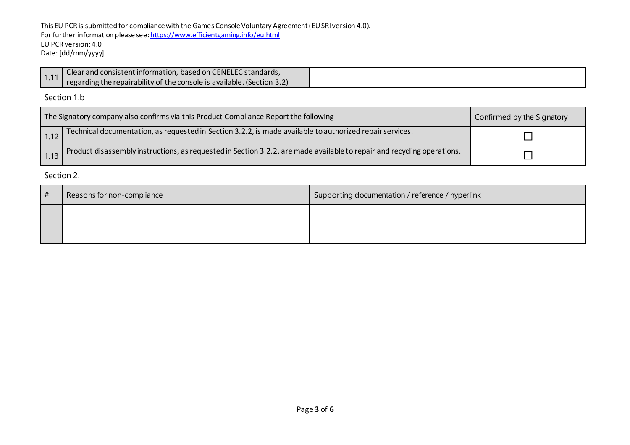This EU PCR is submitted for compliance with the Games Console Voluntary Agreement (EU SRI version 4.0). For further information please se[e: https://www.efficientgaming.info/eu.html](https://www.efficientgaming.info/eu.html) EU PCR version: 4.0 Date: [dd/mm/yyyy]

Section 1.b

| The Signatory company also confirms via this Product Compliance Report the following |                                                                                                                         | Confirmed by the Signatory |
|--------------------------------------------------------------------------------------|-------------------------------------------------------------------------------------------------------------------------|----------------------------|
| 1.12                                                                                 | Technical documentation, as requested in Section 3.2.2, is made available to authorized repair services.                |                            |
|                                                                                      | Product disassembly instructions, as requested in Section 3.2.2, are made available to repair and recycling operations. |                            |

Section 2.

| # | Reasons for non-compliance | Supporting documentation / reference / hyperlink |
|---|----------------------------|--------------------------------------------------|
|   |                            |                                                  |
|   |                            |                                                  |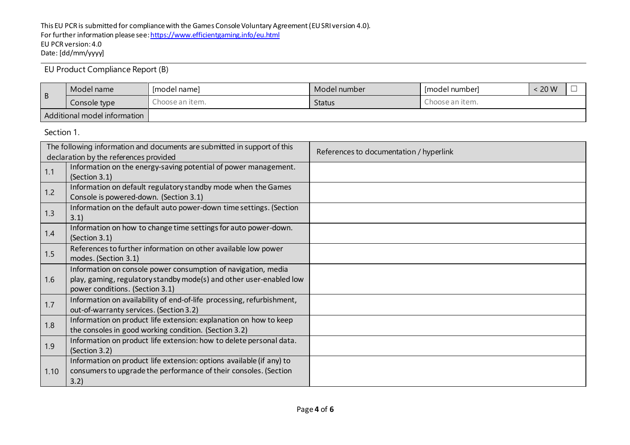EU Product Compliance Report (B)

|                              | Model name   | [model name]    | Model number  | Imodel numberl  | 20 W |  |
|------------------------------|--------------|-----------------|---------------|-----------------|------|--|
| l B                          | Console type | Ihoose an item. | <b>Status</b> | Ihoose an item. |      |  |
| Additional model information |              |                 |               |                 |      |  |

Section 1.

| The following information and documents are submitted in support of this |                                                                       | References to documentation / hyperlink |
|--------------------------------------------------------------------------|-----------------------------------------------------------------------|-----------------------------------------|
| declaration by the references provided                                   |                                                                       |                                         |
| 1.1                                                                      | Information on the energy-saving potential of power management.       |                                         |
|                                                                          | (Section 3.1)                                                         |                                         |
| 1.2                                                                      | Information on default regulatory standby mode when the Games         |                                         |
|                                                                          | Console is powered-down. (Section 3.1)                                |                                         |
|                                                                          | Information on the default auto power-down time settings. (Section    |                                         |
| 1.3                                                                      | 3.1)                                                                  |                                         |
|                                                                          | Information on how to change time settings for auto power-down.       |                                         |
| 1.4                                                                      | (Section 3.1)                                                         |                                         |
| 1.5                                                                      | References to further information on other available low power        |                                         |
|                                                                          | modes. (Section 3.1)                                                  |                                         |
|                                                                          | Information on console power consumption of navigation, media         |                                         |
| 1.6                                                                      | play, gaming, regulatory standby mode(s) and other user-enabled low   |                                         |
|                                                                          | power conditions. (Section 3.1)                                       |                                         |
|                                                                          | Information on availability of end-of-life processing, refurbishment, |                                         |
| 1.7                                                                      | out-of-warranty services. (Section 3.2)                               |                                         |
|                                                                          | Information on product life extension: explanation on how to keep     |                                         |
| 1.8                                                                      | the consoles in good working condition. (Section 3.2)                 |                                         |
|                                                                          | Information on product life extension: how to delete personal data.   |                                         |
| 1.9                                                                      | (Section 3.2)                                                         |                                         |
|                                                                          | Information on product life extension: options available (if any) to  |                                         |
| 1.10                                                                     | consumers to upgrade the performance of their consoles. (Section      |                                         |
|                                                                          | 3.2)                                                                  |                                         |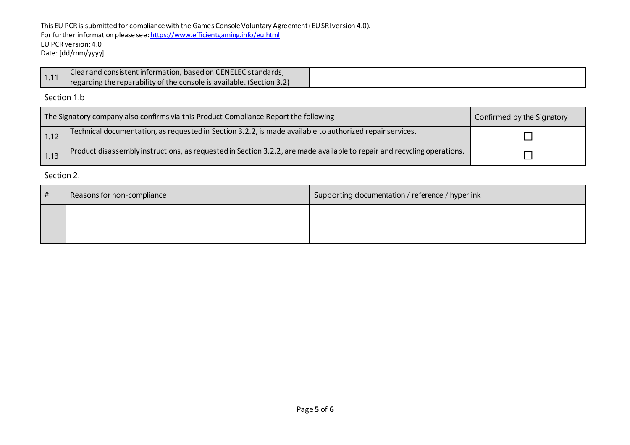This EU PCR is submitted for compliance with the Games Console Voluntary Agreement (EU SRI version 4.0). For further information please se[e: https://www.efficientgaming.info/eu.html](https://www.efficientgaming.info/eu.html) EU PCR version: 4.0 Date: [dd/mm/yyyy]

|      | 1 Clear and consistent information, based on CENELEC standards,       |
|------|-----------------------------------------------------------------------|
| 1.11 | regarding the reparability of the console is available. (Section 3.2) |

Section 1.b

| The Signatory company also confirms via this Product Compliance Report the following |                                                                                                                         | Confirmed by the Signatory |
|--------------------------------------------------------------------------------------|-------------------------------------------------------------------------------------------------------------------------|----------------------------|
| 1.12                                                                                 | Technical documentation, as requested in Section 3.2.2, is made available to authorized repair services.                |                            |
| 1.13                                                                                 | Product disassembly instructions, as requested in Section 3.2.2, are made available to repair and recycling operations. |                            |

Section 2.

| # | Reasons for non-compliance | Supporting documentation / reference / hyperlink |
|---|----------------------------|--------------------------------------------------|
|   |                            |                                                  |
|   |                            |                                                  |